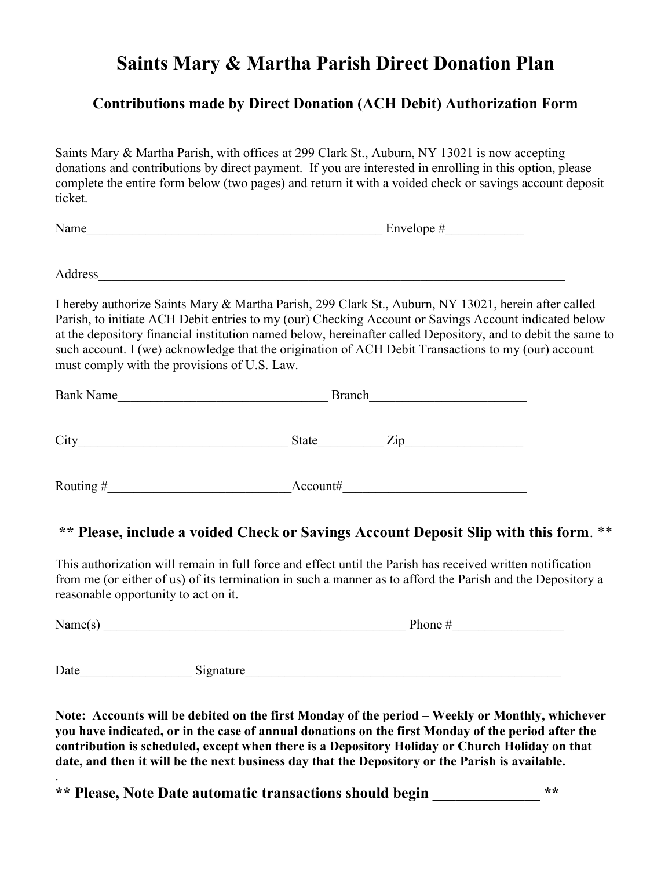## Saints Mary & Martha Parish Direct Donation Plan

## Contributions made by Direct Donation (ACH Debit) Authorization Form

Saints Mary & Martha Parish, with offices at 299 Clark St., Auburn, NY 13021 is now accepting donations and contributions by direct payment. If you are interested in enrolling in this option, please complete the entire form below (two pages) and return it with a voided check or savings account deposit ticket.

Name\_\_\_\_\_\_\_\_\_\_\_\_\_\_\_\_\_\_\_\_\_\_\_\_\_\_\_\_\_\_\_\_\_\_\_\_\_\_\_\_\_\_\_\_\_ Envelope #\_\_\_\_\_\_\_\_\_\_\_\_

Address

I hereby authorize Saints Mary & Martha Parish, 299 Clark St., Auburn, NY 13021, herein after called Parish, to initiate ACH Debit entries to my (our) Checking Account or Savings Account indicated below at the depository financial institution named below, hereinafter called Depository, and to debit the same to such account. I (we) acknowledge that the origination of ACH Debit Transactions to my (our) account must comply with the provisions of U.S. Law.

| <b>Bank Name</b> | <b>Branch</b>                              |
|------------------|--------------------------------------------|
| City             | $\mathop{\mathrm {Zip}}\nolimits$<br>State |
| Routing#         | Account#                                   |

## \*\* Please, include a voided Check or Savings Account Deposit Slip with this form. \*\*

This authorization will remain in full force and effect until the Parish has received written notification from me (or either of us) of its termination in such a manner as to afford the Parish and the Depository a reasonable opportunity to act on it.

Name(s) \_\_\_\_\_\_\_\_\_\_\_\_\_\_\_\_\_\_\_\_\_\_\_\_\_\_\_\_\_\_\_\_\_\_\_\_\_\_\_\_\_\_\_\_\_\_ Phone #\_\_\_\_\_\_\_\_\_\_\_\_\_\_\_\_\_

Date\_\_\_\_\_\_\_\_\_\_\_\_\_\_\_\_\_ Signature\_\_\_\_\_\_\_\_\_\_\_\_\_\_\_\_\_\_\_\_\_\_\_\_\_\_\_\_\_\_\_\_\_\_\_\_\_\_\_\_\_\_\_\_\_\_\_\_

.

Note: Accounts will be debited on the first Monday of the period – Weekly or Monthly, whichever you have indicated, or in the case of annual donations on the first Monday of the period after the contribution is scheduled, except when there is a Depository Holiday or Church Holiday on that date, and then it will be the next business day that the Depository or the Parish is available.

\*\* Please, Note Date automatic transactions should begin \*\*